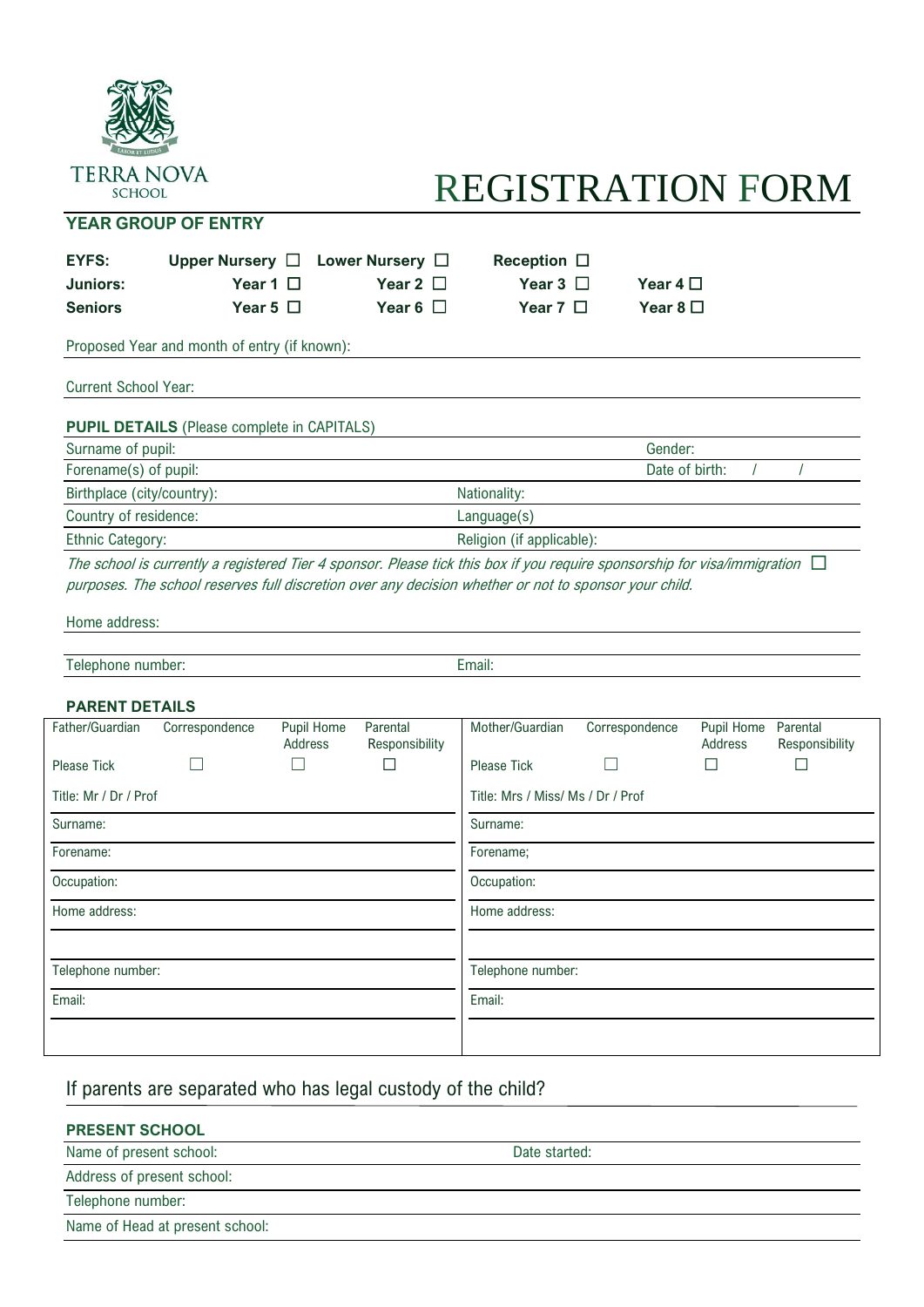

## REGISTRATION FORM

## **YEAR GROUP OF ENTRY**

| <b>EYFS:</b><br><b>Juniors:</b><br><b>Seniors</b> | Upper Nursery $\Box$<br>Year 1 $\Box$<br>Year 5 $\Box$ |                       | Lower Nursery $\Box$<br>Year 2 $\Box$<br>Year 6 $\Box$ | Reception $\Box$<br>Year 3 $\Box$<br>Year 7 $\Box$ | Year 4 $\Box$<br>Year 8 $\square$ |                       |                            |  |
|---------------------------------------------------|--------------------------------------------------------|-----------------------|--------------------------------------------------------|----------------------------------------------------|-----------------------------------|-----------------------|----------------------------|--|
|                                                   | Proposed Year and month of entry (if known):           |                       |                                                        |                                                    |                                   |                       |                            |  |
| <b>Current School Year:</b>                       |                                                        |                       |                                                        |                                                    |                                   |                       |                            |  |
|                                                   | <b>PUPIL DETAILS</b> (Please complete in CAPITALS)     |                       |                                                        |                                                    |                                   |                       |                            |  |
| Surname of pupil:                                 |                                                        |                       | Gender:                                                |                                                    |                                   |                       |                            |  |
| Forename(s) of pupil:                             |                                                        |                       |                                                        |                                                    | Date of birth:                    |                       |                            |  |
| Birthplace (city/country):                        |                                                        |                       |                                                        | Nationality:                                       |                                   |                       |                            |  |
| Country of residence:                             |                                                        |                       |                                                        | Language(s)                                        |                                   |                       |                            |  |
| <b>Ethnic Category:</b>                           |                                                        |                       | Religion (if applicable):                              |                                                    |                                   |                       |                            |  |
| Telephone number:<br><b>PARENT DETAILS</b>        |                                                        |                       |                                                        | Email:                                             |                                   |                       |                            |  |
| Father/Guardian                                   | Correspondence                                         | Pupil Home<br>Address | Parental<br>Responsibility<br>П                        | Mother/Guardian                                    | Correspondence                    | Pupil Home<br>Address | Parental<br>Responsibility |  |
| Please Tick                                       |                                                        |                       |                                                        | <b>Please Tick</b>                                 |                                   | $\mathbb{R}^n$        | $\perp$                    |  |
| Title: Mr / Dr / Prof                             |                                                        |                       |                                                        | Title: Mrs / Miss/ Ms / Dr / Prof                  |                                   |                       |                            |  |
| Surname:                                          |                                                        |                       | Surname:                                               |                                                    |                                   |                       |                            |  |
| Forename:                                         |                                                        |                       | Forename;                                              |                                                    |                                   |                       |                            |  |
| Occupation:                                       |                                                        |                       |                                                        | Occupation:                                        |                                   |                       |                            |  |
| Home address:                                     |                                                        |                       | Home address:                                          |                                                    |                                   |                       |                            |  |
| Telephone number:                                 |                                                        |                       |                                                        | Telephone number:                                  |                                   |                       |                            |  |
| Email:                                            |                                                        |                       |                                                        | Email:                                             |                                   |                       |                            |  |
|                                                   |                                                        |                       |                                                        |                                                    |                                   |                       |                            |  |

## If parents are separated who has legal custody of the child?

## **PRESENT SCHOOL**

| Name of present school:         | Date started: |
|---------------------------------|---------------|
| Address of present school:      |               |
| Telephone number:               |               |
| Name of Head at present school: |               |